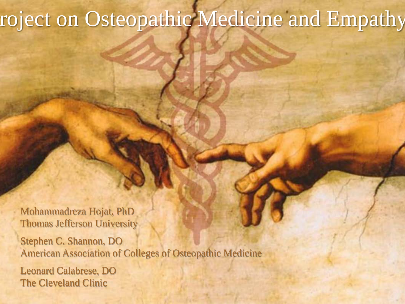# roject on Osteopathic Medicine and Empathy

Mohammadreza Hojat, PhD Thomas Jefferson University Stephen C. Shannon, DO American Association of Colleges of Osteopathic Medicine

Leonard Calabrese, DO The Cleveland Clinic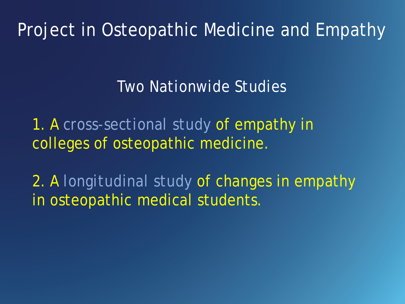Project in Osteopathic Medicine and Empathy

#### *Two Nationwide Studies*

1. A *cross-sectional study* of empathy in colleges of osteopathic medicine.

2. A *longitudinal study* of changes in empathy in osteopathic medical students.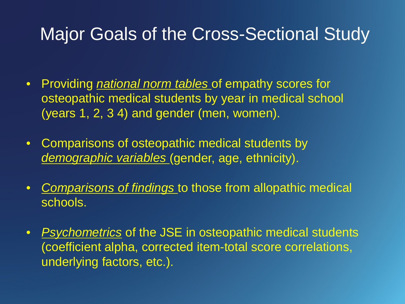#### Major Goals of the Cross-Sectional Study

- Providing *national norm tables* of empathy scores for osteopathic medical students by year in medical school (years 1, 2, 3 4) and gender (men, women).
- Comparisons of osteopathic medical students by *demographic variables* (gender, age, ethnicity).
- *Comparisons of findings* to those from allopathic medical schools.
- *Psychometrics* of the JSE in osteopathic medical students (coefficient alpha, corrected item-total score correlations, underlying factors, etc.).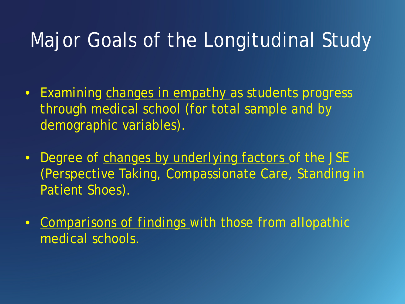## Major Goals of the Longitudinal Study

- Examining *changes in empathy* as students progress through medical school (for total sample and by demographic variables).
- Degree of *changes by underlying factors* of the JSE (Perspective Taking, Compassionate Care, Standing in Patient Shoes).
- *Comparisons of findings* with those from allopathic medical schools.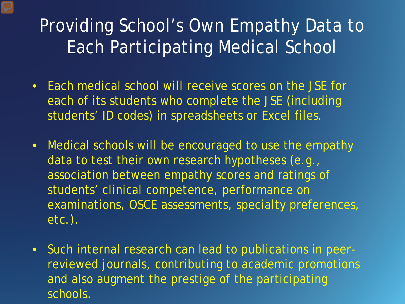### Providing School's Own Empathy Data to Each Participating Medical School

- Each medical school will receive scores on the JSE for each of its students who complete the JSE (including students' ID codes) in spreadsheets or Excel files.
- Medical schools will be encouraged to use the empathy data to test their own research hypotheses (e.g., association between empathy scores and ratings of students' clinical competence, performance on examinations, OSCE assessments, specialty preferences, etc.).
- Such internal research can lead to publications in peerreviewed journals, contributing to academic promotions and also augment the prestige of the participating schools.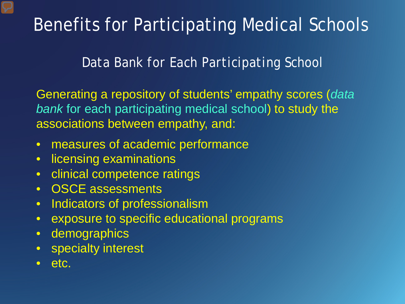### Benefits for Participating Medical Schools

*Data Bank for Each Participating School* 

Generating a repository of students' empathy scores (*data bank* for each participating medical school) to study the associations between empathy, and:

- measures of academic performance
- licensing examinations
- clinical competence ratings
- OSCE assessments
- Indicators of professionalism
- exposure to specific educational programs
- demographics
- specialty interest
- etc.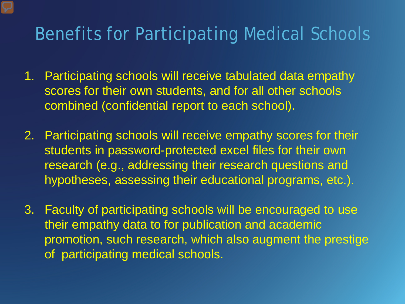#### Benefits for Participating Medical Schools

- 1. Participating schools will receive tabulated data empathy scores for their own students, and for all other schools combined (confidential report to each school).
- 2. Participating schools will receive empathy scores for their students in password-protected excel files for their own research (e.g., addressing their research questions and hypotheses, assessing their educational programs, etc.).
- 3. Faculty of participating schools will be encouraged to use their empathy data to for publication and academic promotion, such research, which also augment the prestige of participating medical schools.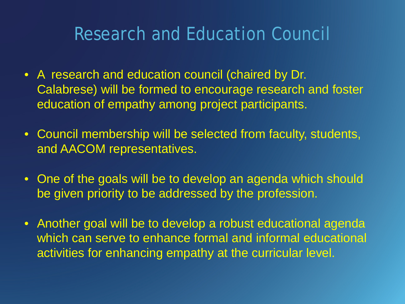#### Research and Education Council

- A research and education council (chaired by Dr. Calabrese) will be formed to encourage research and foster education of empathy among project participants.
- Council membership will be selected from faculty, students, and AACOM representatives.
- One of the goals will be to develop an agenda which should be given priority to be addressed by the profession.
- Another goal will be to develop a robust educational agenda which can serve to enhance formal and informal educational activities for enhancing empathy at the curricular level.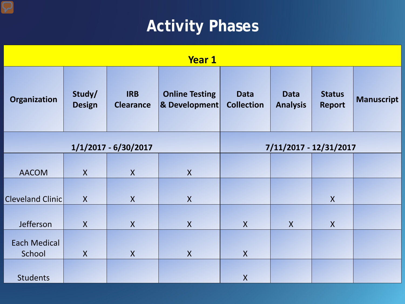#### **Activity Phases**

| <b>Year 1</b>                 |                         |                                |                                                   |                                  |                                |                                |                   |  |
|-------------------------------|-------------------------|--------------------------------|---------------------------------------------------|----------------------------------|--------------------------------|--------------------------------|-------------------|--|
| <b>Organization</b>           | Study/<br><b>Design</b> | <b>IRB</b><br><b>Clearance</b> | <b>Online Testing</b><br><b>&amp; Development</b> | <b>Data</b><br><b>Collection</b> | <b>Data</b><br><b>Analysis</b> | <b>Status</b><br><b>Report</b> | <b>Manuscript</b> |  |
| 1/1/2017 - 6/30/2017          |                         |                                |                                                   | 7/11/2017 - 12/31/2017           |                                |                                |                   |  |
|                               |                         |                                |                                                   |                                  |                                |                                |                   |  |
| <b>AACOM</b>                  | $\boldsymbol{X}$        | $\mathsf{X}$                   | $\sf X$                                           |                                  |                                |                                |                   |  |
| <b>Cleveland Clinic</b>       | $\mathsf{X}$            | $\mathsf{X}$                   | $\mathsf{X}$                                      |                                  |                                | $\mathsf{X}$                   |                   |  |
|                               |                         |                                |                                                   |                                  |                                |                                |                   |  |
| Jefferson                     | $\mathsf{X}$            | $\mathsf{X}$                   | $\sf X$                                           | $\mathsf{X}$                     | X                              | $\boldsymbol{X}$               |                   |  |
| <b>Each Medical</b><br>School | $\mathsf{X}$            | $\mathsf{X}$                   | $\overline{X}$                                    | $\mathsf{X}$                     |                                |                                |                   |  |
| <b>Students</b>               |                         |                                |                                                   | $\sf X$                          |                                |                                |                   |  |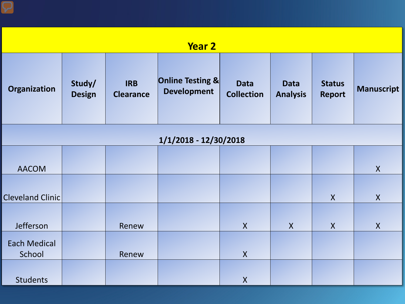| <b>Year 2</b>                 |                         |                                |                                        |                                  |                                |                                |                   |  |  |
|-------------------------------|-------------------------|--------------------------------|----------------------------------------|----------------------------------|--------------------------------|--------------------------------|-------------------|--|--|
| Organization                  | Study/<br><b>Design</b> | <b>IRB</b><br><b>Clearance</b> | Online Testing &<br><b>Development</b> | <b>Data</b><br><b>Collection</b> | <b>Data</b><br><b>Analysis</b> | <b>Status</b><br><b>Report</b> | <b>Manuscript</b> |  |  |
| 1/1/2018 - 12/30/2018         |                         |                                |                                        |                                  |                                |                                |                   |  |  |
| <b>AACOM</b>                  |                         |                                |                                        |                                  |                                |                                | $\mathsf{X}$      |  |  |
| <b>Cleveland Clinic</b>       |                         |                                |                                        |                                  |                                | $\mathsf{X}$                   | $\mathsf{X}$      |  |  |
| Jefferson                     |                         | Renew                          |                                        | $\mathsf{X}$                     | $\boldsymbol{X}$               | $\mathsf{X}$                   | $\boldsymbol{X}$  |  |  |
| <b>Each Medical</b><br>School |                         | Renew                          |                                        | $\boldsymbol{X}$                 |                                |                                |                   |  |  |
| <b>Students</b>               |                         |                                |                                        | $\boldsymbol{X}$                 |                                |                                |                   |  |  |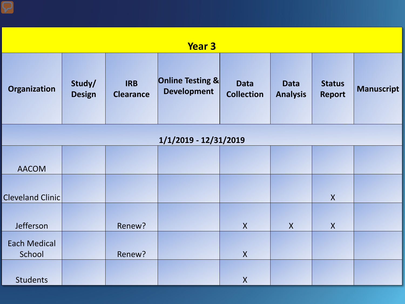| <b>Year 3</b>                 |                         |                                |                                        |                                  |                                |                                |                   |  |  |
|-------------------------------|-------------------------|--------------------------------|----------------------------------------|----------------------------------|--------------------------------|--------------------------------|-------------------|--|--|
| Organization                  | Study/<br><b>Design</b> | <b>IRB</b><br><b>Clearance</b> | Online Testing &<br><b>Development</b> | <b>Data</b><br><b>Collection</b> | <b>Data</b><br><b>Analysis</b> | <b>Status</b><br><b>Report</b> | <b>Manuscript</b> |  |  |
| 1/1/2019 - 12/31/2019         |                         |                                |                                        |                                  |                                |                                |                   |  |  |
| <b>AACOM</b>                  |                         |                                |                                        |                                  |                                |                                |                   |  |  |
| <b>Cleveland Clinic</b>       |                         |                                |                                        |                                  |                                | $\mathsf{X}$                   |                   |  |  |
| Jefferson                     |                         | Renew?                         |                                        | $\mathsf{X}$                     | $\mathsf{X}$                   | $\mathsf{X}$                   |                   |  |  |
| <b>Each Medical</b><br>School |                         | Renew?                         |                                        | $\pmb{\mathsf{X}}$               |                                |                                |                   |  |  |
| <b>Students</b>               |                         |                                |                                        | $\mathsf{X}$                     |                                |                                |                   |  |  |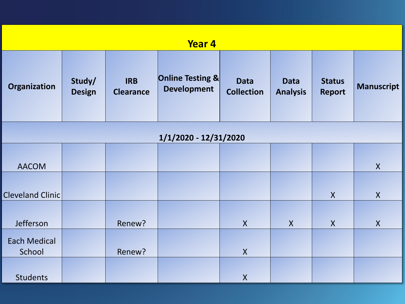| <b>Year 4</b>                 |                         |                                |                                        |                                  |                                |                                |                   |  |  |
|-------------------------------|-------------------------|--------------------------------|----------------------------------------|----------------------------------|--------------------------------|--------------------------------|-------------------|--|--|
| Organization                  | Study/<br><b>Design</b> | <b>IRB</b><br><b>Clearance</b> | Online Testing &<br><b>Development</b> | <b>Data</b><br><b>Collection</b> | <b>Data</b><br><b>Analysis</b> | <b>Status</b><br><b>Report</b> | <b>Manuscript</b> |  |  |
| 1/1/2020 - 12/31/2020         |                         |                                |                                        |                                  |                                |                                |                   |  |  |
|                               |                         |                                |                                        |                                  |                                |                                |                   |  |  |
| <b>AACOM</b>                  |                         |                                |                                        |                                  |                                |                                | $\mathsf{X}$      |  |  |
| <b>Cleveland Clinic</b>       |                         |                                |                                        |                                  |                                | $\mathsf{X}$                   | $\mathsf{X}$      |  |  |
| Jefferson                     |                         | Renew?                         |                                        | $\mathsf{X}$                     | $\mathsf{X}$                   | $\boldsymbol{X}$               | $\mathsf{X}$      |  |  |
| <b>Each Medical</b><br>School |                         | Renew?                         |                                        | $\pmb{\mathsf{X}}$               |                                |                                |                   |  |  |
| <b>Students</b>               |                         |                                |                                        | $\pmb{\mathsf{X}}$               |                                |                                |                   |  |  |